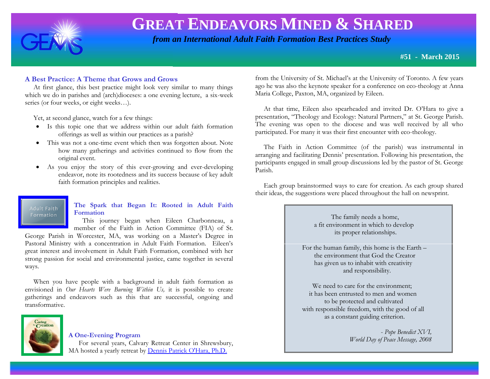

 *from an International Adult Faith Formation Best Practices Study*

**#51 - March 2015**

# **A Best Practice: A Theme that Grows and Grows**

 At first glance, this best practice might look very similar to many things which we do in parishes and (arch)dioceses: a one evening lecture, a six-week series (or four weeks, or eight weeks…).

Yet, at second glance, watch for a few things:

- Is this topic one that we address within our adult faith formation offerings as well as within our practices as a parish?
- This was not a one-time event which then was forgotten about. Note how many gatherings and activities continued to flow from the original event.
- As you enjoy the story of this ever-growing and ever-developing endeavor, note its rootedness and its success because of key adult faith formation principles and realities.

#### Adult Faith Formation

## **The Spark that Began It: Rooted in Adult Faith Formation**

 This journey began when Eileen Charbonneau, a member of the Faith in Action Committee (FIA) of St.

George Parish in Worcester, MA, was working on a Master's Degree in Pastoral Ministry with a concentration in Adult Faith Formation. Eileen's great interest and involvement in Adult Faith Formation, combined with her strong passion for social and environmental justice, came together in several ways.

 When you have people with a background in adult faith formation as envisioned in *Our Hearts Were Burning Within Us,* it is possible to create gatherings and endeavors such as this that are successful, ongoing and transformative.



## **A One-Evening Program**

 For several years, Calvary Retreat Center in Shrewsbury, MA hosted a yearly retreat by [Dennis Patrick O'Hara, Ph.D.](http://stmikes.utoronto.ca/theology/profiles/dennis-ohara.asp)

from the University of St. Michael's at the University of Toronto. A few years ago he was also the keynote speaker for a conference on eco-theology at Anna Maria College, Paxton, MA, organized by Eileen.

 At that time, Eileen also spearheaded and invited Dr. O'Hara to give a presentation, "Theology and Ecology: Natural Partners," at St. George Parish. The evening was open to the diocese and was well received by all who participated. For many it was their first encounter with eco-theology.

 The Faith in Action Committee (of the parish) was instrumental in arranging and facilitating Dennis' presentation. Following his presentation, the participants engaged in small group discussions led by the pastor of St. George Parish.

 Each group brainstormed ways to care for creation. As each group shared their ideas, the suggestions were placed throughout the hall on newsprint.

> The family needs a home, a fit environment in which to develop its proper relationships.

 For the human family, this home is the Earth – the environment that God the Creator has given us to inhabit with creativity and responsibility.

We need to care for the environment: it has been entrusted to men and women to be protected and cultivated with responsible freedom, with the good of all as a constant guiding criterion.

> - *Pope Benedict XVI, World Day of Peace Message, 2008*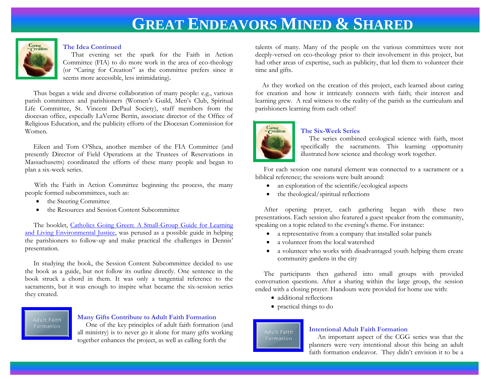

#### **The Idea Continued**

 That evening set the spark for the Faith in Action Committee (FIA) to do more work in the area of eco-theology (or "Caring for Creation" as the committee prefers since it seems more accessible, less intimidating).

 Thus began a wide and diverse collaboration of many people: e.g., various parish committees and parishioners (Women's Guild, Men's Club, Spiritual Life Committee, St. Vincent DePaul Society), staff members from the diocesan office, especially LaVerne Bertin, associate director of the Office of Religious Education, and the publicity efforts of the Diocesan Commission for Women.

 Eileen and Tom O'Shea, another member of the FIA Committee (and presently Director of Field Operations at the Trustees of Reservations in Massachusetts) coordinated the efforts of these many people and began to plan a six-week series.

 With the Faith in Action Committee beginning the process, the many people formed subcommittees, such as:

- the Steering Committee
- the Resources and Session Content Subcommittee

 The booklet, [Catholics Going Green: A Small-Group Guide for Learning](http://www.amazon.com/Catholics-Going-Green-Small-Group-Environmental/dp/1594712107/ref=sr_1_1?ie=UTF8&qid=1398105990&sr=8-1&keywords=Catholics+Going+Green)  [and Living Environmental Justice,](http://www.amazon.com/Catholics-Going-Green-Small-Group-Environmental/dp/1594712107/ref=sr_1_1?ie=UTF8&qid=1398105990&sr=8-1&keywords=Catholics+Going+Green) was perused as a possible guide in helping the parishioners to follow-up and make practical the challenges in Dennis' presentation.

 In studying the book, the Session Content Subcommittee decided to use the book as a guide, but not follow its outline directly. One sentence in the book struck a chord in them. It was only a tangential reference to the sacraments, but it was enough to inspire what became the six-session series they created.

Adult Faith Formation

#### **Many Gifts Contribute to Adult Faith Formation**

 One of the key principles of adult faith formation (and all ministry) is to never go it alone for many gifts working together enhances the project, as well as calling forth the

talents of many. Many of the people on the various committees were not deeply-versed on eco-theology prior to their involvement in this project, but had other areas of expertise, such as publicity, that led them to volunteer their time and gifts.

 As they worked on the creation of this project, each learned about caring for creation and how it intricately connects with faith; their interest and learning grew. A real witness to the reality of the parish as the curriculum and parishioners learning from each other!



#### **The Six-Week Series**

 The series combined ecological science with faith, most specifically the sacraments. This learning opportunity illustrated how science and theology work together.

 For each session one natural element was connected to a sacrament or a biblical reference; the sessions were built around:

- an exploration of the scientific/ecological aspects
- the theological/spiritual reflections

 After opening prayer, each gathering began with these two presentations. Each session also featured a guest speaker from the community, speaking on a topic related to the evening's theme. For instance:

- a representative from a company that installed solar panels
- a volunteer from the local watershed
- a volunteer who works with disadvantaged youth helping them create community gardens in the city

 The participants then gathered into small groups with provided conversation questions. After a sharing within the large group, the session ended with a closing prayer. Handouts were provided for home use with:

- additional reflections
- practical things to do

Adult Faith Formation

## **Intentional Adult Faith Formation**

 An important aspect of the CGG series was that the planners were very intentional about this being an adult faith formation endeavor. They didn't envision it to be a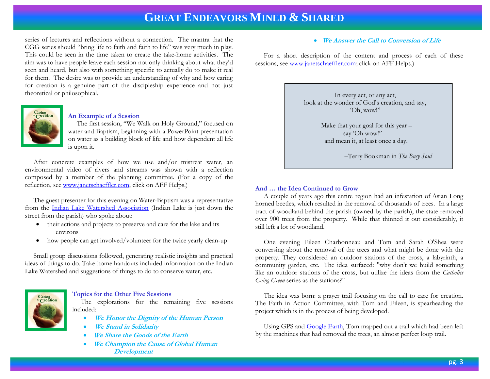series of lectures and reflections without a connection. The mantra that the CGG series should "bring life to faith and faith to life" was very much in play. This could be seen in the time taken to create the take-home activities. The aim was to have people leave each session not only thinking about what they'd seen and heard, but also with something specific to actually do to make it real for them. The desire was to provide an understanding of why and how caring for creation is a genuine part of the discipleship experience and not just theoretical or philosophical.



### **An Example of a Session**

 The first session, "We Walk on Holy Ground," focused on water and Baptism, beginning with a PowerPoint presentation on water as a building block of life and how dependent all life is upon it.

 After concrete examples of how we use and/or mistreat water, an environmental video of rivers and streams was shown with a reflection composed by a member of the planning committee. (For a copy of the reflection, see [www.janetschaeffler.com;](http://www.janetschaeffler.com/) click on AFF Helps.)

 The guest presenter for this evening on Water-Baptism was a representative from the [Indian Lake Watershed Association](http://ilwa.org/) (Indian Lake is just down the street from the parish) who spoke about:

- their actions and projects to preserve and care for the lake and its environs
- how people can get involved/volunteer for the twice yearly clean-up

 Small group discussions followed, generating realistic insights and practical ideas of things to do. Take-home handouts included information on the Indian Lake Watershed and suggestions of things to do to conserve water, etc.



#### **Topics for the Other Five Sessions**

The explorations for the remaining five sessions included:

- **We Honor the Dignity of the Human Person**
- **We Stand in Solidarity**
- **We Share the Goods of the Earth**
- **We Champion the Cause of Global Human Development**

#### **We Answer the Call to Conversion of Life**

 For a short description of the content and process of each of these sessions, see [www.janetschaeffler.com;](http://www.janetschaeffler.com/) click on AFF Helps.)

> In every act, or any act, look at the wonder of God's creation, and say, 'Oh, wow!"

> > Make that your goal for this year – say 'Oh wow!" and mean it, at least once a day.

> > > –Terry Bookman in *The Busy Soul*

#### **And … the Idea Continued to Grow**

A couple of years ago this entire region had an infestation of Asian Long horned beetles, which resulted in the removal of thousands of trees. In a large tract of woodland behind the parish (owned by the parish), the state removed over 900 trees from the property. While that thinned it out considerably, it still left a lot of woodland.

 One evening Eileen Charbonneau and Tom and Sarah O'Shea were conversing about the removal of the trees and what might be done with the property. They considered an outdoor stations of the cross, a labyrinth, a community garden, etc. The idea surfaced: "why don't we build something like an outdoor stations of the cross, but utilize the ideas from the *Catholics Going Green* series as the stations?"

 The idea was born: a prayer trail focusing on the call to care for creation. The Faith in Action Committee, with Tom and Eileen, is spearheading the project which is in the process of being developed.

 Using GPS and [Google Earth,](http://www.google.com/earth/) Tom mapped out a trail which had been left by the machines that had removed the trees, an almost perfect loop trail.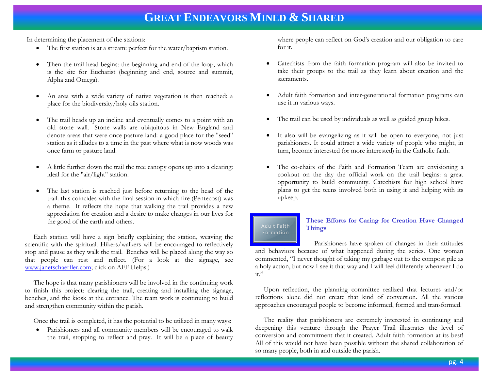In determining the placement of the stations:

- The first station is at a stream: perfect for the water/baptism station.
- Then the trail head begins: the beginning and end of the loop, which is the site for Eucharist (beginning and end, source and summit, Alpha and Omega).
- An area with a wide variety of native vegetation is then reached: a place for the biodiversity/holy oils station.
- The trail heads up an incline and eventually comes to a point with an old stone wall. Stone walls are ubiquitous in New England and denote areas that were once pasture land: a good place for the "seed" station as it alludes to a time in the past where what is now woods was once farm or pasture land.
- A little further down the trail the tree canopy opens up into a clearing: ideal for the "air/light" station.
- The last station is reached just before returning to the head of the trail: this coincides with the final session in which fire (Pentecost) was a theme. It reflects the hope that walking the trail provides a new appreciation for creation and a desire to make changes in our lives for the good of the earth and others.

 Each station will have a sign briefly explaining the station, weaving the scientific with the spiritual. Hikers/walkers will be encouraged to reflectively stop and pause as they walk the trail. Benches will be placed along the way so that people can rest and reflect. (For a look at the signage, see [www.janetschaeffler.com;](http://www.janetschaeffler.com/) click on AFF Helps.)

 The hope is that many parishioners will be involved in the continuing work to finish this project: clearing the trail, creating and installing the signage, benches, and the kiosk at the entrance. The team work is continuing to build and strengthen community within the parish.

Once the trail is completed, it has the potential to be utilized in many ways:

 Parishioners and all community members will be encouraged to walk the trail, stopping to reflect and pray. It will be a place of beauty where people can reflect on God's creation and our obligation to care for it.

- Catechists from the faith formation program will also be invited to take their groups to the trail as they learn about creation and the sacraments.
- Adult faith formation and inter-generational formation programs can use it in various ways.
- The trail can be used by individuals as well as guided group hikes.
- It also will be evangelizing as it will be open to everyone, not just parishioners. It could attract a wide variety of people who might, in turn, become interested (or more interested) in the Catholic faith.
- The co-chairs of the Faith and Formation Team are envisioning a cookout on the day the official work on the trail begins: a great opportunity to build community. Catechists for high school have plans to get the teens involved both in using it and helping with its upkeep.

# Adult Faith Formation

# **These Efforts for Caring for Creation Have Changed Things**

 Parishioners have spoken of changes in their attitudes and behaviors because of what happened during the series. One woman commented, "I never thought of taking my garbage out to the compost pile as a holy action, but now I see it that way and I will feel differently whenever I do it."

 Upon reflection, the planning committee realized that lectures and/or reflections alone did not create that kind of conversion. All the various approaches encouraged people to become informed, formed and transformed.

 The reality that parishioners are extremely interested in continuing and deepening this venture through the Prayer Trail illustrates the level of conversion and commitment that it created. Adult faith formation at its best! All of this would not have been possible without the shared collaboration of so many people, both in and outside the parish.